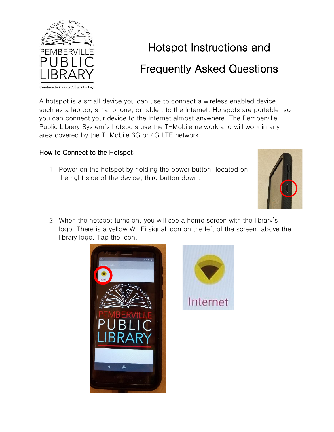

## Hotspot Instructions and Frequently Asked Questions

A hotspot is a small device you can use to connect a wireless enabled device, such as a laptop, smartphone, or tablet, to the Internet. Hotspots are portable, so you can connect your device to the Internet almost anywhere. The Pemberville Public Library System's hotspots use the T-Mobile network and will work in any area covered by the T-Mobile 3G or 4G LTE network.

## How to Connect to the Hotspot:

1. Power on the hotspot by holding the power button; located on the right side of the device, third button down.



2. When the hotspot turns on, you will see a home screen with the library's logo. There is a yellow Wi-Fi signal icon on the left of the screen, above the library logo. Tap the icon.



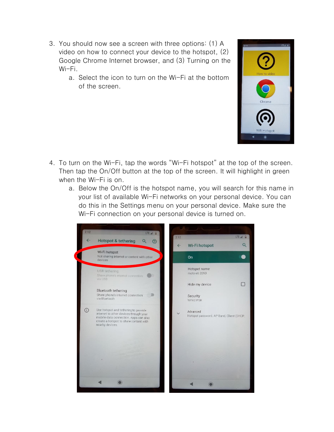- 3. You should now see a screen with three options: (1) A video on how to connect your device to the hotspot, (2) Google Chrome Internet browser, and (3) Turning on the Wi-Fi.
	- a. Select the icon to turn on the Wi-Fi at the bottom of the screen.



- 4. To turn on the Wi-Fi, tap the words "Wi-Fi hotspot" at the top of the screen. Then tap the On/Off button at the top of the screen. It will highlight in green when the Wi-Fi is on.
	- a. Below the On/Off is the hotspot name, you will search for this name in your list of available Wi-Fi networks on your personal device. You can do this in the Settings menu on your personal device. Make sure the Wi-Fi connection on your personal device is turned on.

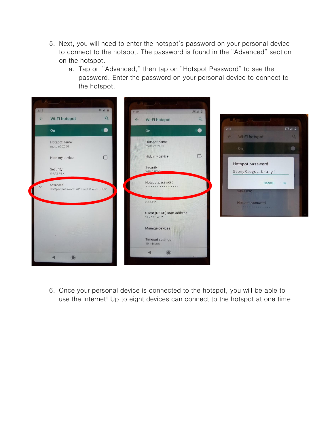- 5. Next, you will need to enter the hotspot's password on your personal device to connect to the hotspot. The password is found in the "Advanced" section on the hotspot.
	- a. Tap on "Advanced," then tap on "Hotspot Password" to see the password. Enter the password on your personal device to connect to the hotspot.



6. Once your personal device is connected to the hotspot, you will be able to use the Internet! Up to eight devices can connect to the hotspot at one time.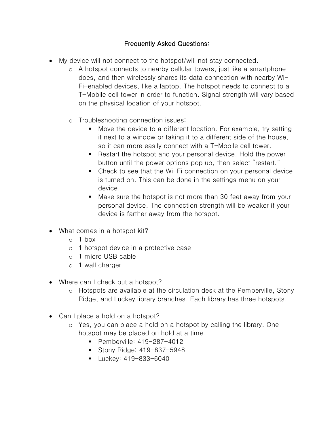## Frequently Asked Questions:

- My device will not connect to the hotspot/will not stay connected.
	- o A hotspot connects to nearby cellular towers, just like a smartphone does, and then wirelessly shares its data connection with nearby Wi-Fi-enabled devices, like a laptop. The hotspot needs to connect to a T-Mobile cell tower in order to function. Signal strength will vary based on the physical location of your hotspot.
	- o Troubleshooting connection issues:
		- Move the device to a different location. For example, try setting it next to a window or taking it to a different side of the house, so it can more easily connect with a T-Mobile cell tower.
		- Restart the hotspot and your personal device. Hold the power button until the power options pop up, then select "restart."
		- Check to see that the Wi-Fi connection on your personal device is turned on. This can be done in the settings menu on your device.
		- Make sure the hotspot is not more than 30 feet away from your personal device. The connection strength will be weaker if your device is farther away from the hotspot.
- What comes in a hotspot kit?
	- $o<sub>1</sub>$  box
	- o 1 hotspot device in a protective case
	- o 1 micro USB cable
	- o 1 wall charger
- Where can I check out a hotspot?
	- o Hotspots are available at the circulation desk at the Pemberville, Stony Ridge, and Luckey library branches. Each library has three hotspots.
- Can I place a hold on a hotspot?
	- o Yes, you can place a hold on a hotspot by calling the library. One hotspot may be placed on hold at a time.
		- Pemberville: 419-287-4012
		- Stony Ridge: 419-837-5948
		- Luckey: 419-833-6040